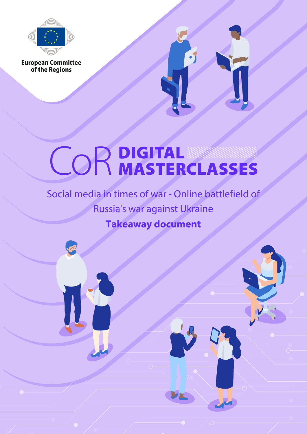

**European Committee**<br>of the Regions



# **COR DIGITAL STERCLASSES**

Social media in times of war - Online battlefield of Russia's war against Ukraine **Takeaway document**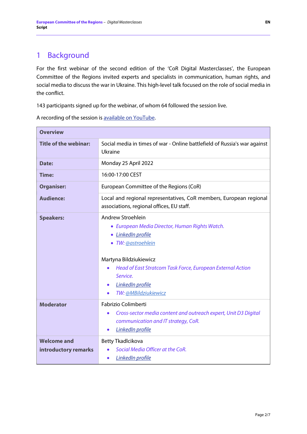# 1 Background

For the first webinar of the second edition of the 'CoR Digital Masterclasses', the European Committee of the Regions invited experts and specialists in communication, human rights, and social media to discuss the war in Ukraine. This high-level talk focused on the role of social media in the conflict.

143 participants signed up for the webinar, of whom 64 followed the session live.

| <b>Overview</b>                            |                                                                                                                                                                                                                                                                 |
|--------------------------------------------|-----------------------------------------------------------------------------------------------------------------------------------------------------------------------------------------------------------------------------------------------------------------|
| <b>Title of the webinar:</b>               | Social media in times of war - Online battlefield of Russia's war against<br>Ukraine                                                                                                                                                                            |
| Date:                                      | Monday 25 April 2022                                                                                                                                                                                                                                            |
| Time:                                      | 16:00-17:00 CEST                                                                                                                                                                                                                                                |
| <b>Organiser:</b>                          | European Committee of the Regions (CoR)                                                                                                                                                                                                                         |
| <b>Audience:</b>                           | Local and regional representatives, CoR members, European regional<br>associations, regional offices, EU staff.                                                                                                                                                 |
| <b>Speakers:</b>                           | Andrew Stroehlein<br>• European Media Director, Human Rights Watch.<br>· LinkedIn profile<br>· TW: @astroehlein<br>Martyna Bildziukiewicz<br>Head of East Stratcom Task Force, European External Action<br>Service.<br>LinkedIn profile<br>TW: @MBildziukiewicz |
| <b>Moderator</b>                           | Fabrizio Colimberti<br>Cross-sector media content and outreach expert, Unit D3 Digital<br>communication and IT strategy, CoR.<br><b>LinkedIn profile</b><br>$\bullet$                                                                                           |
| <b>Welcome and</b><br>introductory remarks | Betty Tkadlcikova<br>Social Media Officer at the CoR.<br>LinkedIn profile                                                                                                                                                                                       |

A recording of the session is [available on YouTube.](https://www.youtube.com/watch?v=12XFLDEhlEo)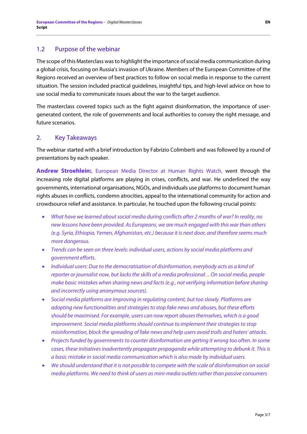## 1.2 Purpose of the webinar

The scope of this Masterclass was to highlight the importance of social media communication during a global crisis, focusing on Russia's invasion of Ukraine. Members of the European Committee of the Regions received an overview of best practices to follow on social media in response to the current situation. The session included practical guidelines, insightful tips, and high-level advice on how to use social media to communicate issues about the war to the target audience.

The masterclass covered topics such as the fight against disinformation, the importance of usergenerated content, the role of governments and local authorities to convey the right message, and future scenarios.

## 2. Key Takeaways

The webinar started with a brief introduction by Fabrizio Colimberti and was followed by a round of presentations by each speaker.

**Andrew Stroehlein:**, European Media Director at Human Rights Watch, went through the increasing role digital platforms are playing in crises, conflicts, and war. He underlined the way governments, international organisations, NGOs, and individuals use platforms to document human rights abuses in conflicts, condemn atrocities, appeal to the international community for action and crowdsource relief and assistance. In particular, he touched upon the following crucial points:

- What have we learned about social media during conflicts after 2 months of war? In reality, no *new lessons have been provided. As Europeans, we are much engaged with this war than others (e.g. Syria, Ethiopia, Yemen, Afghanistan, etc.) because it is next door, and therefore seems much more dangerous.*
- *Trends can be seen on three levels: individual users, actions by social media platforms and government efforts.*
- *Individual users: Due to the democratisation of disinformation, everybody acts as a kind of reporter or journalist now, but lacksthe skills of a media professional. .. On social media, people make basic mistakes when sharing news and facts (e.g., not verifying information before sharing and incorrectly using anonymous sources).*
- *Social media platforms are improving in regulating content, but too slowly. Platforms are adopting new functionalities and strategies to stop fake news and abuses, but these efforts should be maximised. For example, users can now report abuses themselves, which is a good improvement. Social media platforms should continue to implement their strategies to stop misinformation, block the spreading of fake news and help users avoid trolls and haters' attacks.*
- *Projects funded by governmentsto counter disinformation are getting it wrong too often. In some cases, these initiativesinadvertently propagate propaganda while attempting to debunk it. This is a basic mistake in social media communication which is also made by individual users.*
- *We should understand that it is not possible to compete with the scale of disinformation on social media platforms. We need to think of users as mini-media outlets rather than passive consumers*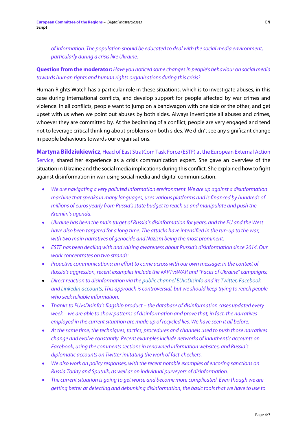*of information. The population should be educated to deal with the social media environment, particularly during a crisis like Ukraine.* 

### **Question from the moderator:** *Have you noticed some changes in people's behaviour on social media towards human rights and human rights organisations during this crisis?*

Human Rights Watch has a particular role in these situations, which is to investigate abuses, in this case during international conflicts, and develop support for people affected by war crimes and violence. In all conflicts, people want to jump on a bandwagon with one side or the other, and get upset with us when we point out abuses by both sides. Always investigate all abuses and crimes, whoever they are committed by. At the beginning of a conflict, people are very engaged and tend not to leverage critical thinking about problems on both sides. We didn't see any significant change in people behaviours towards our organisations.

#### **Martyna Bildziukiewicz**, Head of East StratCom Task Force (ESTF) at the European External Action

Service, shared her experience as a crisis communication expert. She gave an overview of the situation in Ukraine and the social media implications during this conflict. She explained how to fight against disinformation in war using social media and digital communication.

- *We are navigating a very polluted information environment. We are up against a disinformation machine that speaks in many languages, uses various platforms and is financed by hundreds of millions of euros yearly from Russia'sstate budget to reach us and manipulate and push the Kremlin's agenda.*
- *Ukraine has been the main target of Russia's disinformation for years, and the EU and the West have also been targeted for a long time. The attacks have intensified in the run-up to the war, with two main narratives of genocide and Nazism being the most prominent.*
- *ESTF has been dealing with and raising awareness about Russia's disinformation since 2014. Our work concentrates on two strands:*
- *Proactive communications: an effort to come across with our own message; in the context of Russia's aggression, recent examples include the #ARTvsWAR and "Faces of Ukraine" campaigns;*
- *Direct reaction to disinformation via the [public channel EUvsDisinfo](https://euvsdisinfo.eu/) and its [Twitter,](https://twitter.com/EUvsDisinfo) [Facebook](https://www.facebook.com/EUvsDisinfo/) and [LinkedIn accounts.](https://www.linkedin.com/company/euvsdisinfo/) This approach is controversial, but we should keep trying to reach people who seek reliable information.*
- *Thanks to EUvsDisinfo's flagship product the database of disinformation cases updated every week – we are able to show patterns of disinformation and prove that, in fact, the narratives employed in the current situation are made up of recycled lies. We have seen it all before.*
- *At the same time, the techniques, tactics, procedures and channels used to push those narratives change and evolve constantly. Recent examples include networks of inauthentic accounts on Facebook, using the comments sections in renowned information websites, and Russia's diplomatic accounts on Twitter imitating the work of fact-checkers.*
- *We also work on policy responses, with the recent notable examples of encoring sanctions on Russia Today and Sputnik, as well as on individual purveyors of disinformation.*
- *The current situation is going to get worse and become more complicated. Even though we are getting better at detecting and debunking disinformation, the basic tools that we have to use to*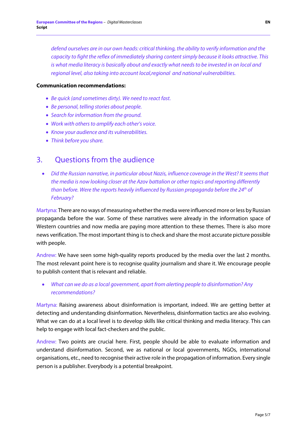*defend ourselves are in our own heads: critical thinking, the ability to verify information and the capacity to fight the reflex of immediately sharing contentsimply because it looks attractive. This is what media literacy is basically about and exactly what needs to be invested in on local and regional level, also taking into account local,regional and national vulnerabilities.*

#### **Communication recommendations:**

- *Be quick (and sometimes dirty). We need to react fast.*
- *Be personal, telling stories about people.*
- *Search for information from the ground.*
- *Work with others to amplify each other's voice.*
- *Know your audience and its vulnerabilities.*
- *Think before you share.*

## 3. Questions from the audience

• *Did the Russian narrative, in particular about Nazis, influence coverage in the West? It seems that the media is now looking closer at the Azov battalion or other topics and reporting differently than before. Were the reports heavily influenced by Russian propaganda before the 24th of February?*

Martyna: There are no ways of measuring whether the media were influenced more or less by Russian propaganda before the war. Some of these narratives were already in the information space of Western countries and now media are paying more attention to these themes. There is also more news verification. The most important thing is to check and share the most accurate picture possible with people.

Andrew: We have seen some high-quality reports produced by the media over the last 2 months. The most relevant point here is to recognise quality journalism and share it. We encourage people to publish content that is relevant and reliable.

• *What can we do as a local government, apart from alerting people to disinformation? Any recommendations?* 

Martyna: Raising awareness about disinformation is important, indeed. We are getting better at detecting and understanding disinformation. Nevertheless, disinformation tactics are also evolving. What we can do at a local level is to develop skills like critical thinking and media literacy. This can help to engage with local fact-checkers and the public.

Andrew: Two points are crucial here. First, people should be able to evaluate information and understand disinformation. Second, we as national or local governments, NGOs, international organisations, etc., need to recognise their active role in the propagation of information. Every single person is a publisher. Everybody is a potential breakpoint.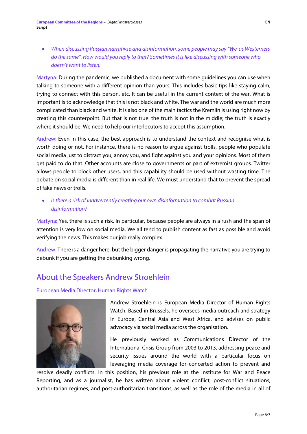• *When discussing Russian narrativse and disinformation, some people may say "We as Westerners do the same". How would you reply to that? Sometimes it is like discussing with someone who doesn't want to listen.*

Martyna: During the pandemic, we published a document with some guidelines you can use when talking to someone with a different opinion than yours. This includes basic tips like staying calm, trying to connect with this person, etc. It can be useful in the current context of the war. What is important is to acknowledge that this is not black and white. The war and the world are much more complicated than black and white. It is also one of the main tactics the Kremlin is using right now by creating this counterpoint. But that is not true: the truth is not in the middle; the truth is exactly where it should be. We need to help our interlocutors to accept this assumption.

Andrew: Even in this case, the best approach is to understand the context and recognise what is worth doing or not. For instance, there is no reason to argue against trolls, people who populate social media just to distract you, annoy you, and fight against you and your opinions. Most of them get paid to do that. Other accounts are close to governments or part of extremist groups. Twitter allows people to block other users, and this capability should be used without wasting time. The debate on social media is different than in real life. We must understand that to prevent the spread of fake news or trolls.

• *Is there a risk of inadvertently creating our own disinformation to combat Russian disinformation?*

Martyna: Yes, there is such a risk. In particular, because people are always in a rush and the span of attention is very low on social media. We all tend to publish content as fast as possible and avoid verifying the news. This makes our job really complex.

Andrew: There is a danger here, but the bigger danger is propagating the narrative you are trying to debunk if you are getting the debunking wrong.

# About the Speakers Andrew Stroehlein

#### European Media Director, Human Rights Watch



Andrew Stroehlein is European Media Director of Human Rights Watch. Based in Brussels, he oversees media outreach and strategy in Europe, Central Asia and West Africa, and advises on public advocacy via social media across the organisation.

He previously worked as Communications Director of the International Crisis Group from 2003 to 2013, addressing peace and security issues around the world with a particular focus on leveraging media coverage for concerted action to prevent and

resolve deadly conflicts. In this position, his previous role at the Institute for War and Peace Reporting, and as a journalist, he has written about violent conflict, post-conflict situations, authoritarian regimes, and post-authoritarian transitions, as well as the role of the media in all of